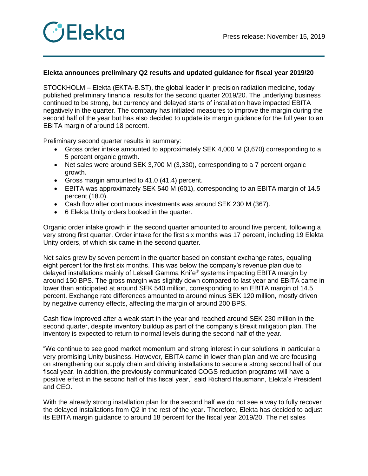

## **Elekta announces preliminary Q2 results and updated guidance for fiscal year 2019/20**

STOCKHOLM – Elekta (EKTA-B.ST), the global leader in precision radiation medicine, today published preliminary financial results for the second quarter 2019/20. The underlying business continued to be strong, but currency and delayed starts of installation have impacted EBITA negatively in the quarter. The company has initiated measures to improve the margin during the second half of the year but has also decided to update its margin guidance for the full year to an EBITA margin of around 18 percent.

Preliminary second quarter results in summary:

- Gross order intake amounted to approximately SEK 4,000 M (3,670) corresponding to a 5 percent organic growth.
- Net sales were around SEK 3,700 M (3,330), corresponding to a 7 percent organic growth.
- Gross margin amounted to 41.0 (41.4) percent.
- EBITA was approximately SEK 540 M (601), corresponding to an EBITA margin of 14.5 percent (18.0).
- Cash flow after continuous investments was around SEK 230 M (367).
- 6 Elekta Unity orders booked in the quarter.

Organic order intake growth in the second quarter amounted to around five percent, following a very strong first quarter. Order intake for the first six months was 17 percent, including 19 Elekta Unity orders, of which six came in the second quarter.

Net sales grew by seven percent in the quarter based on constant exchange rates, equaling eight percent for the first six months. This was below the company's revenue plan due to delayed installations mainly of Leksell Gamma Knife® systems impacting EBITA margin by around 150 BPS. The gross margin was slightly down compared to last year and EBITA came in lower than anticipated at around SEK 540 million, corresponding to an EBITA margin of 14.5 percent. Exchange rate differences amounted to around minus SEK 120 million, mostly driven by negative currency effects, affecting the margin of around 200 BPS.

Cash flow improved after a weak start in the year and reached around SEK 230 million in the second quarter, despite inventory buildup as part of the company's Brexit mitigation plan. The inventory is expected to return to normal levels during the second half of the year.

"We continue to see good market momentum and strong interest in our solutions in particular a very promising Unity business. However, EBITA came in lower than plan and we are focusing on strengthening our supply chain and driving installations to secure a strong second half of our fiscal year. In addition, the previously communicated COGS reduction programs will have a positive effect in the second half of this fiscal year," said Richard Hausmann, Elekta's President and CEO.

With the already strong installation plan for the second half we do not see a way to fully recover the delayed installations from Q2 in the rest of the year. Therefore, Elekta has decided to adjust its EBITA margin guidance to around 18 percent for the fiscal year 2019/20. The net sales